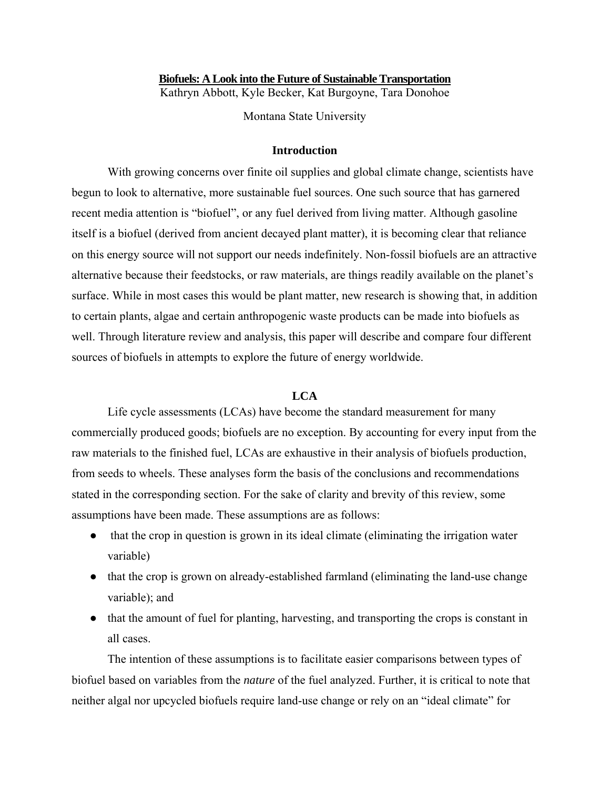## **Biofuels: A Look into the Future of Sustainable Transportation**

Kathryn Abbott, Kyle Becker, Kat Burgoyne, Tara Donohoe

Montana State University

## **Introduction**

With growing concerns over finite oil supplies and global climate change, scientists have begun to look to alternative, more sustainable fuel sources. One such source that has garnered recent media attention is "biofuel", or any fuel derived from living matter. Although gasoline itself is a biofuel (derived from ancient decayed plant matter), it is becoming clear that reliance on this energy source will not support our needs indefinitely. Non-fossil biofuels are an attractive alternative because their feedstocks, or raw materials, are things readily available on the planet's surface. While in most cases this would be plant matter, new research is showing that, in addition to certain plants, algae and certain anthropogenic waste products can be made into biofuels as well. Through literature review and analysis, this paper will describe and compare four different sources of biofuels in attempts to explore the future of energy worldwide.

## **LCA**

Life cycle assessments (LCAs) have become the standard measurement for many commercially produced goods; biofuels are no exception. By accounting for every input from the raw materials to the finished fuel, LCAs are exhaustive in their analysis of biofuels production, from seeds to wheels. These analyses form the basis of the conclusions and recommendations stated in the corresponding section. For the sake of clarity and brevity of this review, some assumptions have been made. These assumptions are as follows:

- that the crop in question is grown in its ideal climate (eliminating the irrigation water variable)
- that the crop is grown on already-established farmland (eliminating the land-use change variable); and
- that the amount of fuel for planting, harvesting, and transporting the crops is constant in all cases.

The intention of these assumptions is to facilitate easier comparisons between types of biofuel based on variables from the *nature* of the fuel analyzed. Further, it is critical to note that neither algal nor upcycled biofuels require land-use change or rely on an "ideal climate" for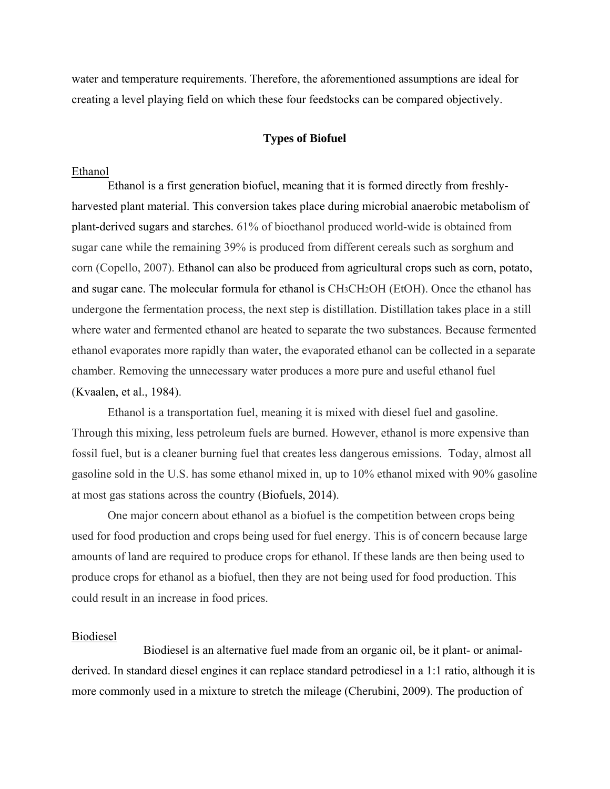water and temperature requirements. Therefore, the aforementioned assumptions are ideal for creating a level playing field on which these four feedstocks can be compared objectively.

## **Types of Biofuel**

#### Ethanol

Ethanol is a first generation biofuel, meaning that it is formed directly from freshlyharvested plant material. This conversion takes place during microbial anaerobic metabolism of plant-derived sugars and starches. 61% of bioethanol produced world-wide is obtained from sugar cane while the remaining 39% is produced from different cereals such as sorghum and corn (Copello, 2007). Ethanol can also be produced from agricultural crops such as corn, potato, and sugar cane. The molecular formula for ethanol is CH3CH2OH (EtOH). Once the ethanol has undergone the fermentation process, the next step is distillation. Distillation takes place in a still where water and fermented ethanol are heated to separate the two substances. Because fermented ethanol evaporates more rapidly than water, the evaporated ethanol can be collected in a separate chamber. Removing the unnecessary water produces a more pure and useful ethanol fuel (Kvaalen, et al., 1984).

Ethanol is a transportation fuel, meaning it is mixed with diesel fuel and gasoline. Through this mixing, less petroleum fuels are burned. However, ethanol is more expensive than fossil fuel, but is a cleaner burning fuel that creates less dangerous emissions. Today, almost all gasoline sold in the U.S. has some ethanol mixed in, up to 10% ethanol mixed with 90% gasoline at most gas stations across the country (Biofuels, 2014).

One major concern about ethanol as a biofuel is the competition between crops being used for food production and crops being used for fuel energy. This is of concern because large amounts of land are required to produce crops for ethanol. If these lands are then being used to produce crops for ethanol as a biofuel, then they are not being used for food production. This could result in an increase in food prices.

#### Biodiesel

Biodiesel is an alternative fuel made from an organic oil, be it plant- or animalderived. In standard diesel engines it can replace standard petrodiesel in a 1:1 ratio, although it is more commonly used in a mixture to stretch the mileage (Cherubini, 2009). The production of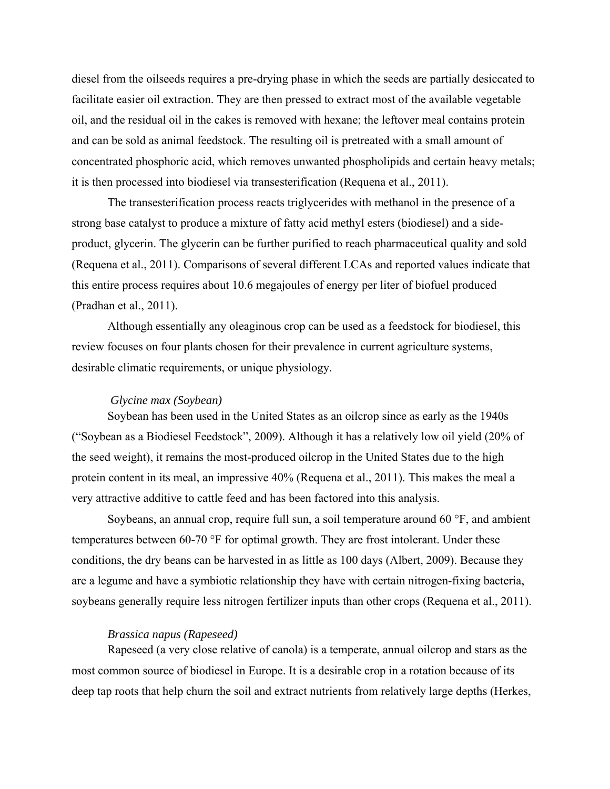diesel from the oilseeds requires a pre-drying phase in which the seeds are partially desiccated to facilitate easier oil extraction. They are then pressed to extract most of the available vegetable oil, and the residual oil in the cakes is removed with hexane; the leftover meal contains protein and can be sold as animal feedstock. The resulting oil is pretreated with a small amount of concentrated phosphoric acid, which removes unwanted phospholipids and certain heavy metals; it is then processed into biodiesel via transesterification (Requena et al., 2011).

The transesterification process reacts triglycerides with methanol in the presence of a strong base catalyst to produce a mixture of fatty acid methyl esters (biodiesel) and a sideproduct, glycerin. The glycerin can be further purified to reach pharmaceutical quality and sold (Requena et al., 2011). Comparisons of several different LCAs and reported values indicate that this entire process requires about 10.6 megajoules of energy per liter of biofuel produced (Pradhan et al., 2011).

Although essentially any oleaginous crop can be used as a feedstock for biodiesel, this review focuses on four plants chosen for their prevalence in current agriculture systems, desirable climatic requirements, or unique physiology.

# *Glycine max (Soybean)*

Soybean has been used in the United States as an oilcrop since as early as the 1940s ("Soybean as a Biodiesel Feedstock", 2009). Although it has a relatively low oil yield (20% of the seed weight), it remains the most-produced oilcrop in the United States due to the high protein content in its meal, an impressive 40% (Requena et al., 2011). This makes the meal a very attractive additive to cattle feed and has been factored into this analysis.

Soybeans, an annual crop, require full sun, a soil temperature around 60 °F, and ambient temperatures between 60-70 °F for optimal growth. They are frost intolerant. Under these conditions, the dry beans can be harvested in as little as 100 days (Albert, 2009). Because they are a legume and have a symbiotic relationship they have with certain nitrogen-fixing bacteria, soybeans generally require less nitrogen fertilizer inputs than other crops (Requena et al., 2011).

### *Brassica napus (Rapeseed)*

Rapeseed (a very close relative of canola) is a temperate, annual oilcrop and stars as the most common source of biodiesel in Europe. It is a desirable crop in a rotation because of its deep tap roots that help churn the soil and extract nutrients from relatively large depths (Herkes,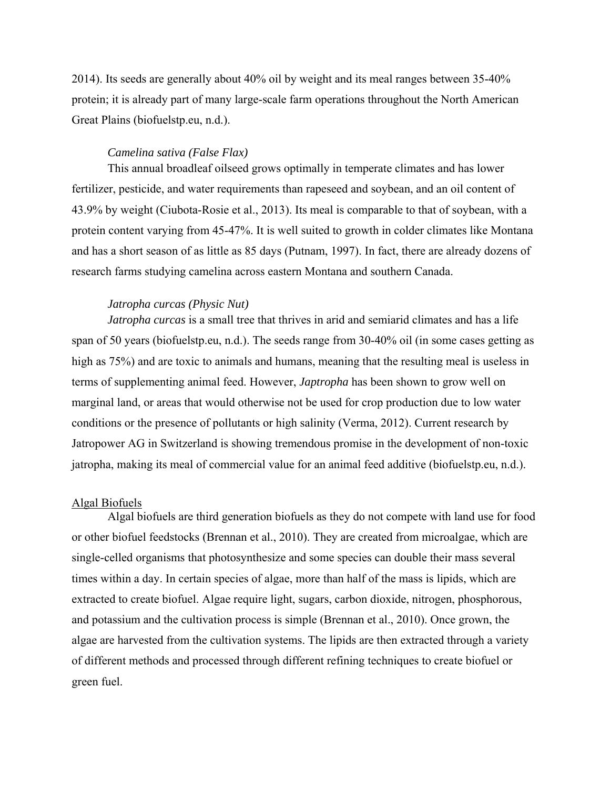2014). Its seeds are generally about 40% oil by weight and its meal ranges between 35-40% protein; it is already part of many large-scale farm operations throughout the North American Great Plains (biofuelstp.eu, n.d.).

## *Camelina sativa (False Flax)*

This annual broadleaf oilseed grows optimally in temperate climates and has lower fertilizer, pesticide, and water requirements than rapeseed and soybean, and an oil content of 43.9% by weight (Ciubota-Rosie et al., 2013). Its meal is comparable to that of soybean, with a protein content varying from 45-47%. It is well suited to growth in colder climates like Montana and has a short season of as little as 85 days (Putnam, 1997). In fact, there are already dozens of research farms studying camelina across eastern Montana and southern Canada.

# *Jatropha curcas (Physic Nut)*

*Jatropha curcas* is a small tree that thrives in arid and semiarid climates and has a life span of 50 years (biofuelstp.eu, n.d.). The seeds range from 30-40% oil (in some cases getting as high as 75%) and are toxic to animals and humans, meaning that the resulting meal is useless in terms of supplementing animal feed. However, *Japtropha* has been shown to grow well on marginal land, or areas that would otherwise not be used for crop production due to low water conditions or the presence of pollutants or high salinity (Verma, 2012). Current research by Jatropower AG in Switzerland is showing tremendous promise in the development of non-toxic jatropha, making its meal of commercial value for an animal feed additive (biofuelstp.eu, n.d.).

#### Algal Biofuels

Algal biofuels are third generation biofuels as they do not compete with land use for food or other biofuel feedstocks (Brennan et al., 2010). They are created from microalgae, which are single-celled organisms that photosynthesize and some species can double their mass several times within a day. In certain species of algae, more than half of the mass is lipids, which are extracted to create biofuel. Algae require light, sugars, carbon dioxide, nitrogen, phosphorous, and potassium and the cultivation process is simple (Brennan et al., 2010). Once grown, the algae are harvested from the cultivation systems. The lipids are then extracted through a variety of different methods and processed through different refining techniques to create biofuel or green fuel.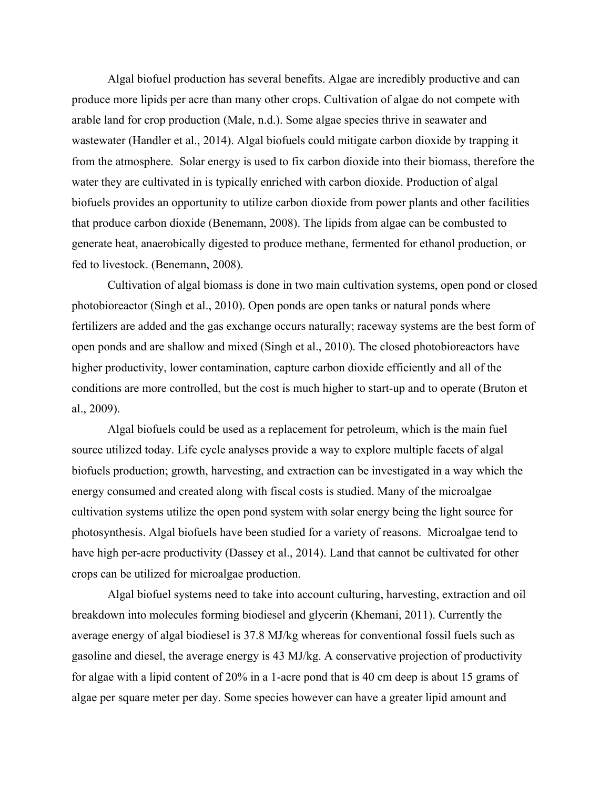Algal biofuel production has several benefits. Algae are incredibly productive and can produce more lipids per acre than many other crops. Cultivation of algae do not compete with arable land for crop production (Male, n.d.). Some algae species thrive in seawater and wastewater (Handler et al., 2014). Algal biofuels could mitigate carbon dioxide by trapping it from the atmosphere. Solar energy is used to fix carbon dioxide into their biomass, therefore the water they are cultivated in is typically enriched with carbon dioxide. Production of algal biofuels provides an opportunity to utilize carbon dioxide from power plants and other facilities that produce carbon dioxide (Benemann, 2008). The lipids from algae can be combusted to generate heat, anaerobically digested to produce methane, fermented for ethanol production, or fed to livestock. (Benemann, 2008).

Cultivation of algal biomass is done in two main cultivation systems, open pond or closed photobioreactor (Singh et al., 2010). Open ponds are open tanks or natural ponds where fertilizers are added and the gas exchange occurs naturally; raceway systems are the best form of open ponds and are shallow and mixed (Singh et al., 2010). The closed photobioreactors have higher productivity, lower contamination, capture carbon dioxide efficiently and all of the conditions are more controlled, but the cost is much higher to start-up and to operate (Bruton et al., 2009).

Algal biofuels could be used as a replacement for petroleum, which is the main fuel source utilized today. Life cycle analyses provide a way to explore multiple facets of algal biofuels production; growth, harvesting, and extraction can be investigated in a way which the energy consumed and created along with fiscal costs is studied. Many of the microalgae cultivation systems utilize the open pond system with solar energy being the light source for photosynthesis. Algal biofuels have been studied for a variety of reasons. Microalgae tend to have high per-acre productivity (Dassey et al., 2014). Land that cannot be cultivated for other crops can be utilized for microalgae production.

Algal biofuel systems need to take into account culturing, harvesting, extraction and oil breakdown into molecules forming biodiesel and glycerin (Khemani, 2011). Currently the average energy of algal biodiesel is 37.8 MJ/kg whereas for conventional fossil fuels such as gasoline and diesel, the average energy is 43 MJ/kg. A conservative projection of productivity for algae with a lipid content of 20% in a 1-acre pond that is 40 cm deep is about 15 grams of algae per square meter per day. Some species however can have a greater lipid amount and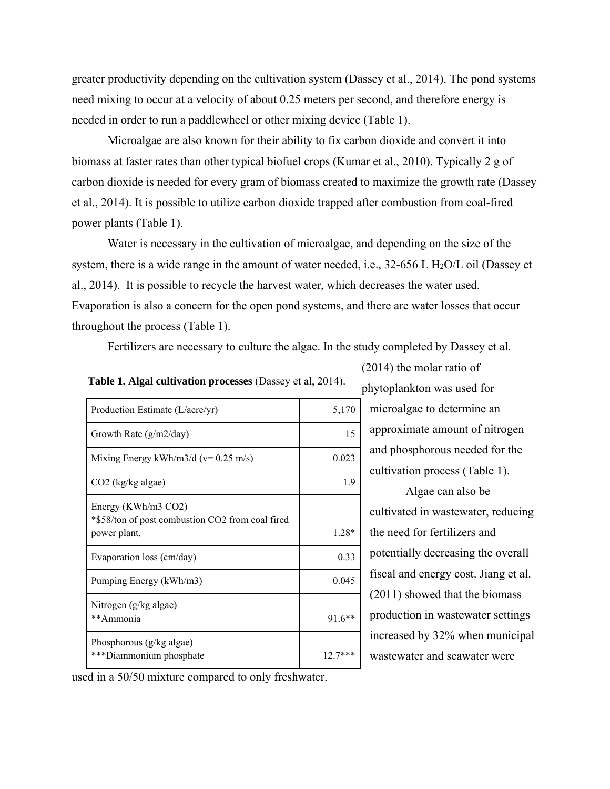greater productivity depending on the cultivation system (Dassey et al., 2014). The pond systems need mixing to occur at a velocity of about 0.25 meters per second, and therefore energy is needed in order to run a paddlewheel or other mixing device (Table 1).

Microalgae are also known for their ability to fix carbon dioxide and convert it into biomass at faster rates than other typical biofuel crops (Kumar et al., 2010). Typically 2 g of carbon dioxide is needed for every gram of biomass created to maximize the growth rate (Dassey et al., 2014). It is possible to utilize carbon dioxide trapped after combustion from coal-fired power plants (Table 1).

Water is necessary in the cultivation of microalgae, and depending on the size of the system, there is a wide range in the amount of water needed, i.e.,  $32-656$  L H<sub>2</sub>O/L oil (Dassey et al., 2014). It is possible to recycle the harvest water, which decreases the water used. Evaporation is also a concern for the open pond systems, and there are water losses that occur throughout the process (Table 1).

Fertilizers are necessary to culture the algae. In the study completed by Dassey et al.

| Production Estimate (L/acre/yr)                                                         | 5,170    |
|-----------------------------------------------------------------------------------------|----------|
| Growth Rate $(g/m2/day)$                                                                | 15       |
| Mixing Energy kWh/m3/d ( $v=0.25$ m/s)                                                  | 0.023    |
| CO2 (kg/kg algae)                                                                       | 1.9      |
| Energy (KWh/m3 CO2)<br>*\$58/ton of post combustion CO2 from coal fired<br>power plant. | $1.28*$  |
| Evaporation loss (cm/day)                                                               | 0.33     |
| Pumping Energy (kWh/m3)                                                                 | 0.045    |
| Nitrogen (g/kg algae)<br>**Ammonia                                                      | $91.6**$ |
| Phosphorous (g/kg algae)<br>***Diammonium phosphate                                     | $127***$ |

**Table 1. Algal cultivation processes** (Dassey et al, 2014). phytoplankton was used for

microalgae to determine an approximate amount of nitrogen and phosphorous needed for the cultivation process (Table 1).

(2014) the molar ratio of

Algae can also be cultivated in wastewater, reducing the need for fertilizers and potentially decreasing the overall fiscal and energy cost. Jiang et al. (2011) showed that the biomass production in wastewater settings increased by 32% when municipal wastewater and seawater were

used in a 50/50 mixture compared to only freshwater.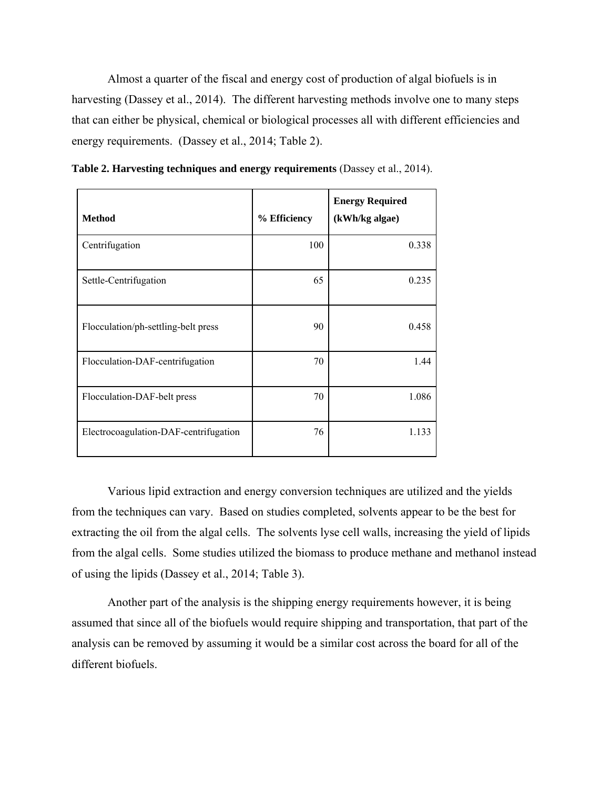Almost a quarter of the fiscal and energy cost of production of algal biofuels is in harvesting (Dassey et al., 2014). The different harvesting methods involve one to many steps that can either be physical, chemical or biological processes all with different efficiencies and energy requirements. (Dassey et al., 2014; Table 2).

| <b>Method</b>                         | % Efficiency | <b>Energy Required</b><br>(kWh/kg algae) |
|---------------------------------------|--------------|------------------------------------------|
| Centrifugation                        | 100          | 0.338                                    |
| Settle-Centrifugation                 | 65           | 0.235                                    |
| Flocculation/ph-settling-belt press   | 90           | 0.458                                    |
| Flocculation-DAF-centrifugation       | 70           | 1.44                                     |
| Flocculation-DAF-belt press           | 70           | 1.086                                    |
| Electrocoagulation-DAF-centrifugation | 76           | 1.133                                    |

**Table 2. Harvesting techniques and energy requirements** (Dassey et al., 2014).

Various lipid extraction and energy conversion techniques are utilized and the yields from the techniques can vary. Based on studies completed, solvents appear to be the best for extracting the oil from the algal cells. The solvents lyse cell walls, increasing the yield of lipids from the algal cells. Some studies utilized the biomass to produce methane and methanol instead of using the lipids (Dassey et al., 2014; Table 3).

Another part of the analysis is the shipping energy requirements however, it is being assumed that since all of the biofuels would require shipping and transportation, that part of the analysis can be removed by assuming it would be a similar cost across the board for all of the different biofuels.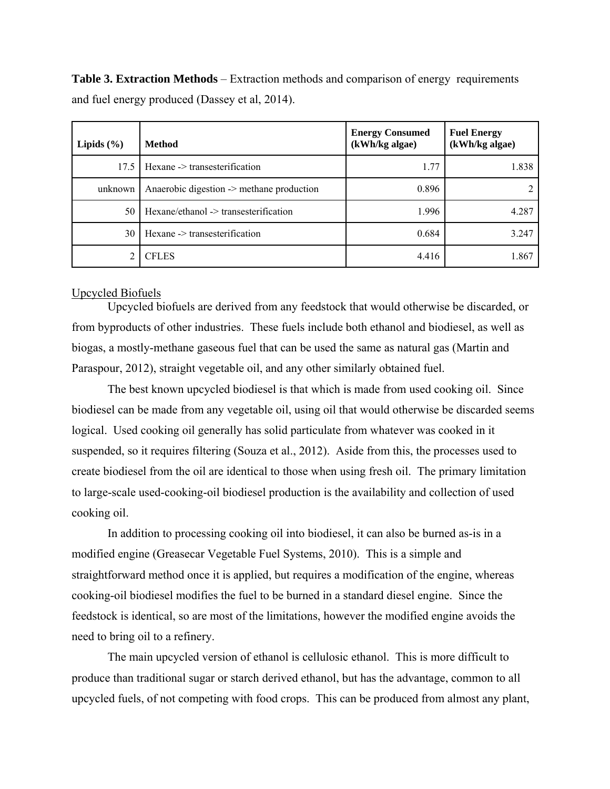**Table 3. Extraction Methods** – Extraction methods and comparison of energy requirements and fuel energy produced (Dassey et al, 2014).

| Lipids $(\% )$ | Method                                    | <b>Energy Consumed</b><br>(kWh/kg algae) | <b>Fuel Energy</b><br>(kWh/kg algae) |
|----------------|-------------------------------------------|------------------------------------------|--------------------------------------|
| 17.5           | Hexane -> transesterification             | 1.77                                     | 1.838                                |
| unknown        | Anaerobic digestion -> methane production | 0.896                                    |                                      |
| 50             | Hexane/ethanol -> transesterification     | 1.996                                    | 4.287                                |
| 30             | Hexane -> transesterification             | 0.684                                    | 3.247                                |
|                | <b>CFLES</b>                              | 4.416                                    | 1.867                                |

# Upcycled Biofuels

Upcycled biofuels are derived from any feedstock that would otherwise be discarded, or from byproducts of other industries. These fuels include both ethanol and biodiesel, as well as biogas, a mostly-methane gaseous fuel that can be used the same as natural gas (Martin and Paraspour, 2012), straight vegetable oil, and any other similarly obtained fuel.

The best known upcycled biodiesel is that which is made from used cooking oil. Since biodiesel can be made from any vegetable oil, using oil that would otherwise be discarded seems logical. Used cooking oil generally has solid particulate from whatever was cooked in it suspended, so it requires filtering (Souza et al., 2012). Aside from this, the processes used to create biodiesel from the oil are identical to those when using fresh oil. The primary limitation to large-scale used-cooking-oil biodiesel production is the availability and collection of used cooking oil.

In addition to processing cooking oil into biodiesel, it can also be burned as-is in a modified engine (Greasecar Vegetable Fuel Systems, 2010). This is a simple and straightforward method once it is applied, but requires a modification of the engine, whereas cooking-oil biodiesel modifies the fuel to be burned in a standard diesel engine. Since the feedstock is identical, so are most of the limitations, however the modified engine avoids the need to bring oil to a refinery.

The main upcycled version of ethanol is cellulosic ethanol. This is more difficult to produce than traditional sugar or starch derived ethanol, but has the advantage, common to all upcycled fuels, of not competing with food crops. This can be produced from almost any plant,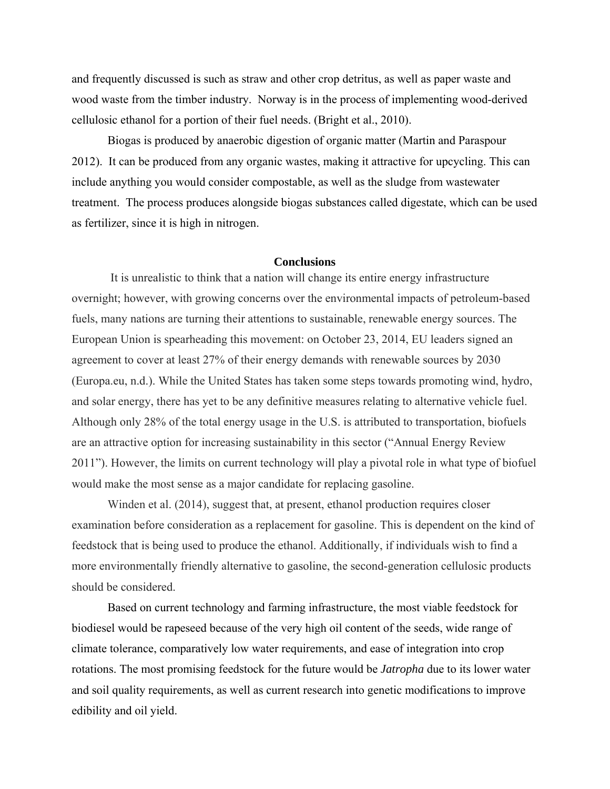and frequently discussed is such as straw and other crop detritus, as well as paper waste and wood waste from the timber industry. Norway is in the process of implementing wood-derived cellulosic ethanol for a portion of their fuel needs. (Bright et al., 2010).

Biogas is produced by anaerobic digestion of organic matter (Martin and Paraspour 2012). It can be produced from any organic wastes, making it attractive for upcycling. This can include anything you would consider compostable, as well as the sludge from wastewater treatment. The process produces alongside biogas substances called digestate, which can be used as fertilizer, since it is high in nitrogen.

# **Conclusions**

 It is unrealistic to think that a nation will change its entire energy infrastructure overnight; however, with growing concerns over the environmental impacts of petroleum-based fuels, many nations are turning their attentions to sustainable, renewable energy sources. The European Union is spearheading this movement: on October 23, 2014, EU leaders signed an agreement to cover at least 27% of their energy demands with renewable sources by 2030 (Europa.eu, n.d.). While the United States has taken some steps towards promoting wind, hydro, and solar energy, there has yet to be any definitive measures relating to alternative vehicle fuel. Although only 28% of the total energy usage in the U.S. is attributed to transportation, biofuels are an attractive option for increasing sustainability in this sector ("Annual Energy Review 2011"). However, the limits on current technology will play a pivotal role in what type of biofuel would make the most sense as a major candidate for replacing gasoline.

Winden et al. (2014), suggest that, at present, ethanol production requires closer examination before consideration as a replacement for gasoline. This is dependent on the kind of feedstock that is being used to produce the ethanol. Additionally, if individuals wish to find a more environmentally friendly alternative to gasoline, the second-generation cellulosic products should be considered.

Based on current technology and farming infrastructure, the most viable feedstock for biodiesel would be rapeseed because of the very high oil content of the seeds, wide range of climate tolerance, comparatively low water requirements, and ease of integration into crop rotations. The most promising feedstock for the future would be *Jatropha* due to its lower water and soil quality requirements, as well as current research into genetic modifications to improve edibility and oil yield.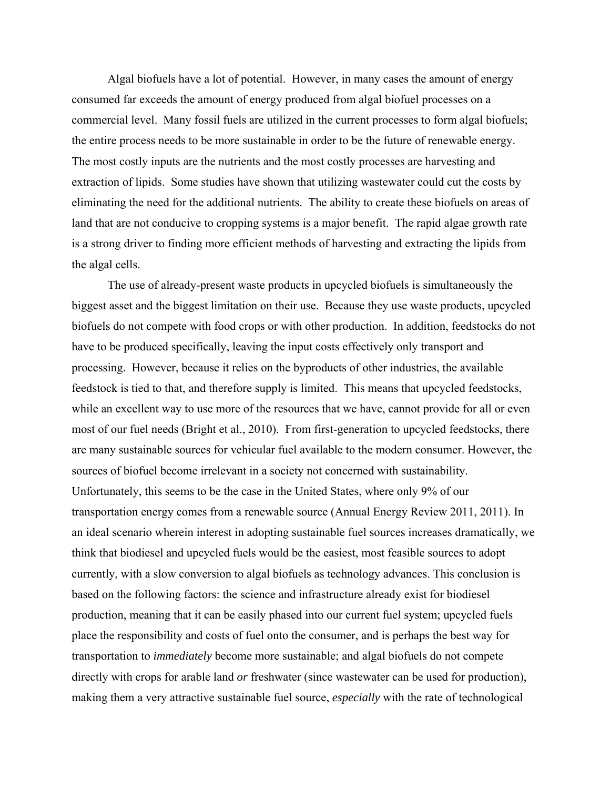Algal biofuels have a lot of potential. However, in many cases the amount of energy consumed far exceeds the amount of energy produced from algal biofuel processes on a commercial level. Many fossil fuels are utilized in the current processes to form algal biofuels; the entire process needs to be more sustainable in order to be the future of renewable energy. The most costly inputs are the nutrients and the most costly processes are harvesting and extraction of lipids. Some studies have shown that utilizing wastewater could cut the costs by eliminating the need for the additional nutrients. The ability to create these biofuels on areas of land that are not conducive to cropping systems is a major benefit. The rapid algae growth rate is a strong driver to finding more efficient methods of harvesting and extracting the lipids from the algal cells.

The use of already-present waste products in upcycled biofuels is simultaneously the biggest asset and the biggest limitation on their use. Because they use waste products, upcycled biofuels do not compete with food crops or with other production. In addition, feedstocks do not have to be produced specifically, leaving the input costs effectively only transport and processing. However, because it relies on the byproducts of other industries, the available feedstock is tied to that, and therefore supply is limited. This means that upcycled feedstocks, while an excellent way to use more of the resources that we have, cannot provide for all or even most of our fuel needs (Bright et al., 2010). From first-generation to upcycled feedstocks, there are many sustainable sources for vehicular fuel available to the modern consumer. However, the sources of biofuel become irrelevant in a society not concerned with sustainability. Unfortunately, this seems to be the case in the United States, where only 9% of our transportation energy comes from a renewable source (Annual Energy Review 2011, 2011). In an ideal scenario wherein interest in adopting sustainable fuel sources increases dramatically, we think that biodiesel and upcycled fuels would be the easiest, most feasible sources to adopt currently, with a slow conversion to algal biofuels as technology advances. This conclusion is based on the following factors: the science and infrastructure already exist for biodiesel production, meaning that it can be easily phased into our current fuel system; upcycled fuels place the responsibility and costs of fuel onto the consumer, and is perhaps the best way for transportation to *immediately* become more sustainable; and algal biofuels do not compete directly with crops for arable land *or* freshwater (since wastewater can be used for production), making them a very attractive sustainable fuel source, *especially* with the rate of technological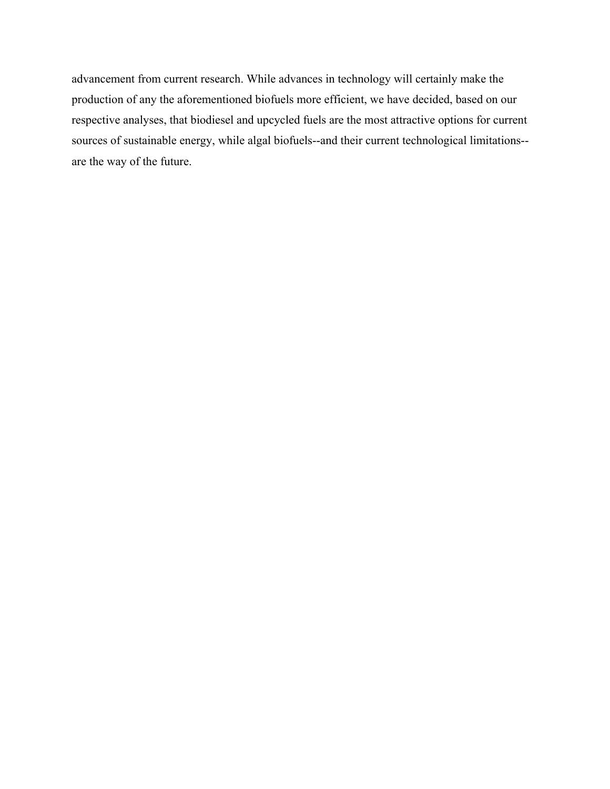advancement from current research. While advances in technology will certainly make the production of any the aforementioned biofuels more efficient, we have decided, based on our respective analyses, that biodiesel and upcycled fuels are the most attractive options for current sources of sustainable energy, while algal biofuels--and their current technological limitations are the way of the future.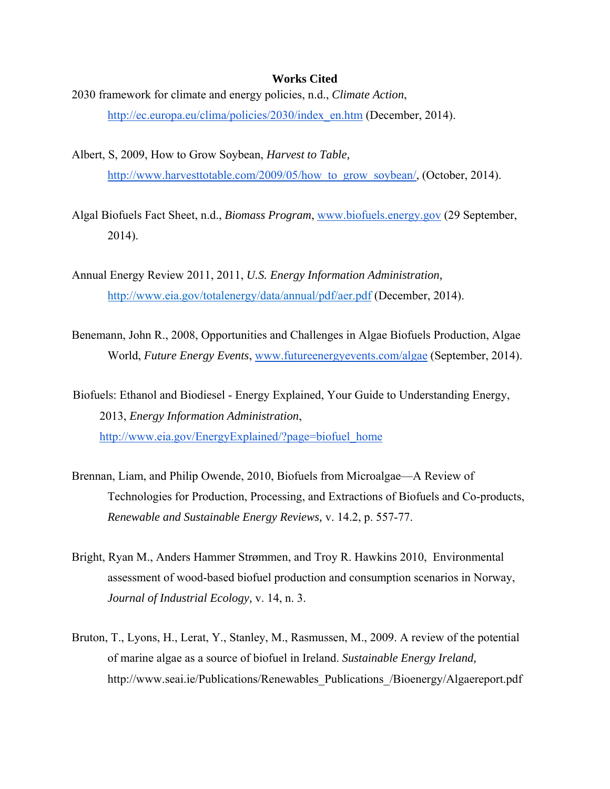### **Works Cited**

- 2030 framework for climate and energy policies, n.d., *Climate Action*, http://ec.europa.eu/clima/policies/2030/index\_en.htm (December, 2014).
- Albert, S, 2009, How to Grow Soybean, *Harvest to Table,*  http://www.harvesttotable.com/2009/05/how to grow soybean/, (October, 2014).
- Algal Biofuels Fact Sheet, n.d., *Biomass Program*, www.biofuels.energy.gov (29 September, 2014).
- Annual Energy Review 2011, 2011, *U.S. Energy Information Administration,*  http://www.eia.gov/totalenergy/data/annual/pdf/aer.pdf (December, 2014).
- Benemann, John R., 2008, Opportunities and Challenges in Algae Biofuels Production, Algae World, *Future Energy Events*, www.futureenergyevents.com/algae (September, 2014).

Biofuels: Ethanol and Biodiesel - Energy Explained, Your Guide to Understanding Energy, 2013, *Energy Information Administration*, http://www.eia.gov/EnergyExplained/?page=biofuel\_home

- Brennan, Liam, and Philip Owende, 2010, Biofuels from Microalgae—A Review of Technologies for Production, Processing, and Extractions of Biofuels and Co-products, *Renewable and Sustainable Energy Reviews,* v. 14.2, p. 557-77.
- Bright, Ryan M., Anders Hammer Strømmen, and Troy R. Hawkins 2010, Environmental assessment of wood-based biofuel production and consumption scenarios in Norway, *Journal of Industrial Ecology,* v. 14, n. 3.
- Bruton, T., Lyons, H., Lerat, Y., Stanley, M., Rasmussen, M., 2009. A review of the potential of marine algae as a source of biofuel in Ireland. *Sustainable Energy Ireland,* http://www.seai.ie/Publications/Renewables\_Publications\_/Bioenergy/Algaereport.pdf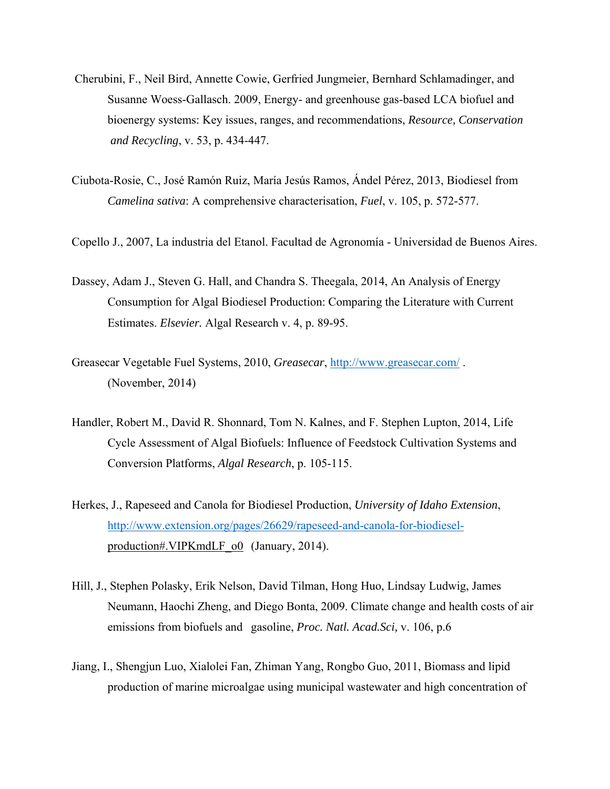- Cherubini, F., Neil Bird, Annette Cowie, Gerfried Jungmeier, Bernhard Schlamadinger, and Susanne Woess-Gallasch. 2009, Energy- and greenhouse gas-based LCA biofuel and bioenergy systems: Key issues, ranges, and recommendations, *Resource, Conservation and Recycling*, v. 53, p. 434-447.
- Ciubota-Rosie, C., José Ramón Ruiz, María Jesús Ramos, Ándel Pérez, 2013, Biodiesel from *Camelina sativa*: A comprehensive characterisation, *Fuel*, v. 105, p. 572-577.
- Copello J., 2007, La industria del Etanol. Facultad de Agronomía Universidad de Buenos Aires.
- Dassey, Adam J., Steven G. Hall, and Chandra S. Theegala, 2014, An Analysis of Energy Consumption for Algal Biodiesel Production: Comparing the Literature with Current Estimates. *Elsevier.* Algal Research v. 4, p. 89-95.
- Greasecar Vegetable Fuel Systems, 2010, *Greasecar*, http://www.greasecar.com/ . (November, 2014)
- Handler, Robert M., David R. Shonnard, Tom N. Kalnes, and F. Stephen Lupton, 2014, Life Cycle Assessment of Algal Biofuels: Influence of Feedstock Cultivation Systems and Conversion Platforms, *Algal Research*, p. 105-115.
- Herkes, J., Rapeseed and Canola for Biodiesel Production, *University of Idaho Extension*, http://www.extension.org/pages/26629/rapeseed-and-canola-for-biodieselproduction#.VIPKmdLF\_o0 (January, 2014).
- Hill, J., Stephen Polasky, Erik Nelson, David Tilman, Hong Huo, Lindsay Ludwig, James Neumann, Haochi Zheng, and Diego Bonta, 2009. Climate change and health costs of air emissions from biofuels and gasoline, *Proc. Natl. Acad.Sci,* v. 106, p.6
- Jiang, I., Shengjun Luo, Xialolei Fan, Zhiman Yang, Rongbo Guo, 2011, Biomass and lipid production of marine microalgae using municipal wastewater and high concentration of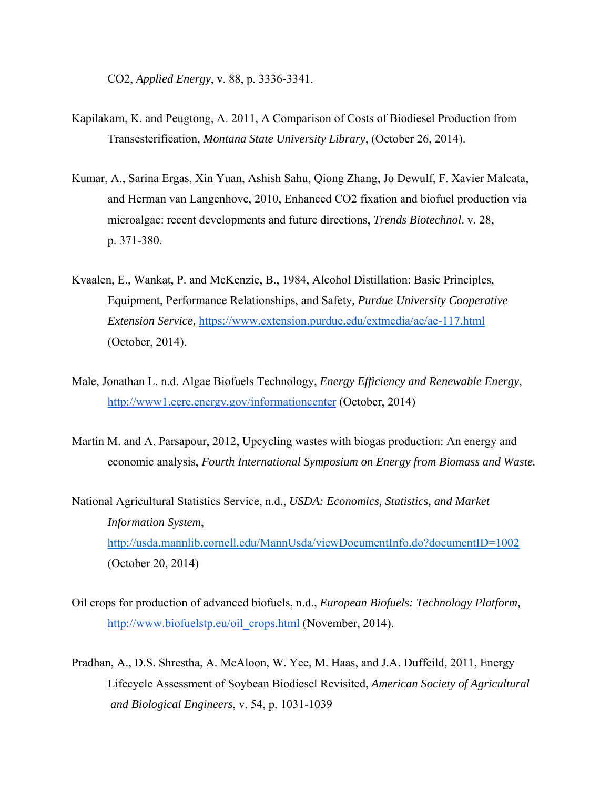CO2, *Applied Energy*, v. 88, p. 3336-3341.

- Kapilakarn, K. and Peugtong, A. 2011, A Comparison of Costs of Biodiesel Production from Transesterification, *Montana State University Library*, (October 26, 2014).
- Kumar, A., Sarina Ergas, Xin Yuan, Ashish Sahu, Qiong Zhang, Jo Dewulf, F. Xavier Malcata, and Herman van Langenhove, 2010, Enhanced CO2 fixation and biofuel production via microalgae: recent developments and future directions, *Trends Biotechnol*. v. 28, p. 371-380.
- Kvaalen, E., Wankat, P. and McKenzie, B., 1984, Alcohol Distillation: Basic Principles, Equipment, Performance Relationships, and Safety*, Purdue University Cooperative Extension Service,* https://www.extension.purdue.edu/extmedia/ae/ae-117.html (October, 2014).
- Male, Jonathan L. n.d. Algae Biofuels Technology, *Energy Efficiency and Renewable Energy*, http://www1.eere.energy.gov/informationcenter (October, 2014)
- Martin M. and A. Parsapour, 2012, Upcycling wastes with biogas production: An energy and economic analysis, *Fourth International Symposium on Energy from Biomass and Waste.*
- National Agricultural Statistics Service, n.d., *USDA: Economics, Statistics, and Market Information System*, http://usda.mannlib.cornell.edu/MannUsda/viewDocumentInfo.do?documentID=1002 (October 20, 2014)
- Oil crops for production of advanced biofuels, n.d., *European Biofuels: Technology Platform,* http://www.biofuelstp.eu/oil\_crops.html (November, 2014).
- Pradhan, A., D.S. Shrestha, A. McAloon, W. Yee, M. Haas, and J.A. Duffeild, 2011, Energy Lifecycle Assessment of Soybean Biodiesel Revisited, *American Society of Agricultural and Biological Engineers*, v. 54, p. 1031-1039